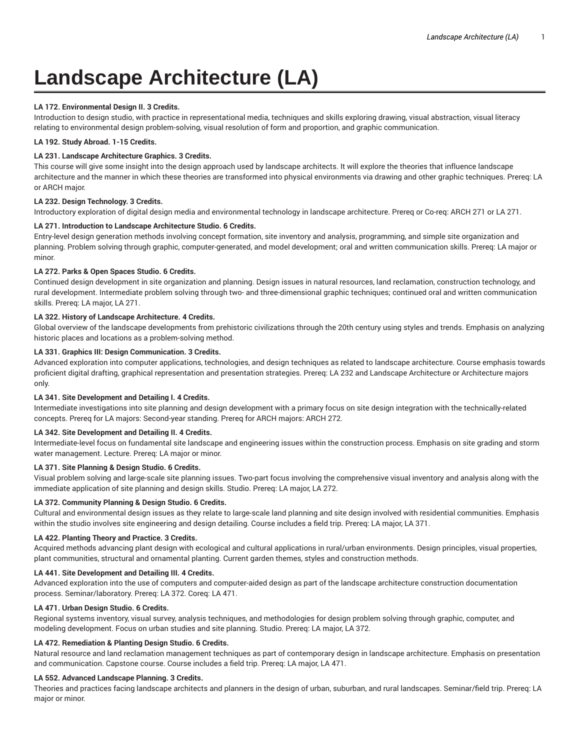# **Landscape Architecture (LA)**

## **LA 172. Environmental Design II. 3 Credits.**

Introduction to design studio, with practice in representational media, techniques and skills exploring drawing, visual abstraction, visual literacy relating to environmental design problem-solving, visual resolution of form and proportion, and graphic communication.

## **LA 192. Study Abroad. 1-15 Credits.**

# **LA 231. Landscape Architecture Graphics. 3 Credits.**

This course will give some insight into the design approach used by landscape architects. It will explore the theories that influence landscape architecture and the manner in which these theories are transformed into physical environments via drawing and other graphic techniques. Prereq: LA or ARCH major.

### **LA 232. Design Technology. 3 Credits.**

Introductory exploration of digital design media and environmental technology in landscape architecture. Prereq or Co-req: ARCH 271 or LA 271.

## **LA 271. Introduction to Landscape Architecture Studio. 6 Credits.**

Entry-level design generation methods involving concept formation, site inventory and analysis, programming, and simple site organization and planning. Problem solving through graphic, computer-generated, and model development; oral and written communication skills. Prereq: LA major or minor.

## **LA 272. Parks & Open Spaces Studio. 6 Credits.**

Continued design development in site organization and planning. Design issues in natural resources, land reclamation, construction technology, and rural development. Intermediate problem solving through two- and three-dimensional graphic techniques; continued oral and written communication skills. Prereq: LA major, LA 271.

### **LA 322. History of Landscape Architecture. 4 Credits.**

Global overview of the landscape developments from prehistoric civilizations through the 20th century using styles and trends. Emphasis on analyzing historic places and locations as a problem-solving method.

### **LA 331. Graphics III: Design Communication. 3 Credits.**

Advanced exploration into computer applications, technologies, and design techniques as related to landscape architecture. Course emphasis towards proficient digital drafting, graphical representation and presentation strategies. Prereq: LA 232 and Landscape Architecture or Architecture majors only.

### **LA 341. Site Development and Detailing I. 4 Credits.**

Intermediate investigations into site planning and design development with a primary focus on site design integration with the technically-related concepts. Prereq for LA majors: Second-year standing. Prereq for ARCH majors: ARCH 272.

## **LA 342. Site Development and Detailing II. 4 Credits.**

Intermediate-level focus on fundamental site landscape and engineering issues within the construction process. Emphasis on site grading and storm water management. Lecture. Prereq: LA major or minor.

# **LA 371. Site Planning & Design Studio. 6 Credits.**

Visual problem solving and large-scale site planning issues. Two-part focus involving the comprehensive visual inventory and analysis along with the immediate application of site planning and design skills. Studio. Prereq: LA major, LA 272.

### **LA 372. Community Planning & Design Studio. 6 Credits.**

Cultural and environmental design issues as they relate to large-scale land planning and site design involved with residential communities. Emphasis within the studio involves site engineering and design detailing. Course includes a field trip. Prereq: LA major, LA 371.

### **LA 422. Planting Theory and Practice. 3 Credits.**

Acquired methods advancing plant design with ecological and cultural applications in rural/urban environments. Design principles, visual properties, plant communities, structural and ornamental planting. Current garden themes, styles and construction methods.

## **LA 441. Site Development and Detailing III. 4 Credits.**

Advanced exploration into the use of computers and computer-aided design as part of the landscape architecture construction documentation process. Seminar/laboratory. Prereq: LA 372. Coreq: LA 471.

## **LA 471. Urban Design Studio. 6 Credits.**

Regional systems inventory, visual survey, analysis techniques, and methodologies for design problem solving through graphic, computer, and modeling development. Focus on urban studies and site planning. Studio. Prereq: LA major, LA 372.

### **LA 472. Remediation & Planting Design Studio. 6 Credits.**

Natural resource and land reclamation management techniques as part of contemporary design in landscape architecture. Emphasis on presentation and communication. Capstone course. Course includes a field trip. Prereq: LA major, LA 471.

### **LA 552. Advanced Landscape Planning. 3 Credits.**

Theories and practices facing landscape architects and planners in the design of urban, suburban, and rural landscapes. Seminar/field trip. Prereq: LA major or minor.